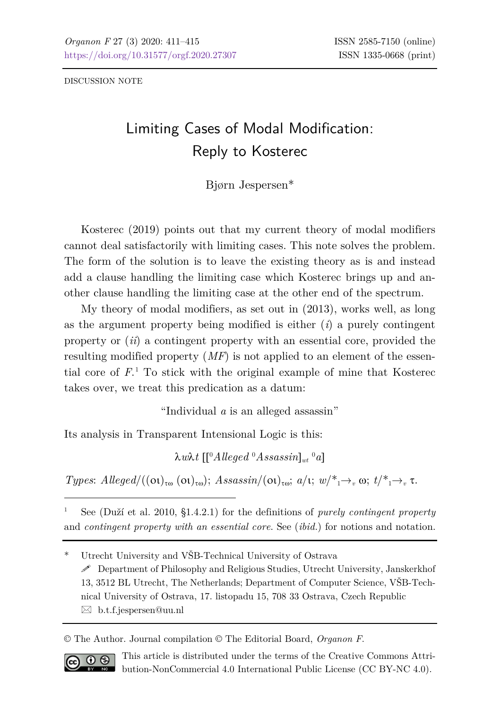DISCUSSION NOTE

## Limiting Cases of Modal Modification: Reply to Kosterec

Bjørn Jespersen\*

Kosterec (2019) points out that my current theory of modal modifiers cannot deal satisfactorily with limiting cases. This note solves the problem. The form of the solution is to leave the existing theory as is and instead add a clause handling the limiting case which Kosterec brings up and another clause handling the limiting case at the other end of the spectrum.

My theory of modal modifiers, as set out in (2013), works well, as long as the argument property being modified is either (*i*) a purely contingent property or (*ii*) a contingent property with an essential core, provided the resulting modified property (*MF*) is not applied to an element of the essential core of  $F<sup>1</sup>$  $F<sup>1</sup>$  $F<sup>1</sup>$ . To stick with the original example of mine that Kosterec takes over, we treat this predication as a datum:

"Individual *a* is an alleged assassin"

Its analysis in Transparent Intensional Logic is this:

 $\lambda$ w $\lambda$ *t*  $\left[\left[^{0}A\,lleged\, ^{0}A\,ssassin\right]_{wt}\, ^{0}a\right]$ 

*Types*:  $\text{Alleged}/((\text{ou})_{\text{to}} (\text{ou})_{\text{to}})$ ;  $\text{Assassin}/(\text{ou})_{\text{to}}$ ;  $a/t$ ;  $w/^*_{1} \rightarrow_{v} \text{ou}$ ;  $t/^*_{1} \rightarrow_{v} \tau$ .

<span id="page-0-0"></span><sup>1</sup> See (Duží et al. 2010, §1.4.2.1) for the definitions of *purely contingent property* and *contingent property with an essential core*. See (*ibid.*) for notions and notation.

\* Utrecht University and VŠB-Technical University of Ostrava Department of Philosophy and Religious Studies, Utrecht University, Janskerkhof 13, 3512 BL Utrecht, The Netherlands; Department of Computer Science, VŠB-Technical University of Ostrava, 17. listopadu 15, 708 33 Ostrava, Czech Republic b.t.f.jespersen@uu.nl

© The Author. Journal compilation © The Editorial Board, *Organon F*.



l

This article is distributed under the terms of the Creative Commons Attribution-NonCommercial 4.0 International Public License (CC BY-NC 4.0).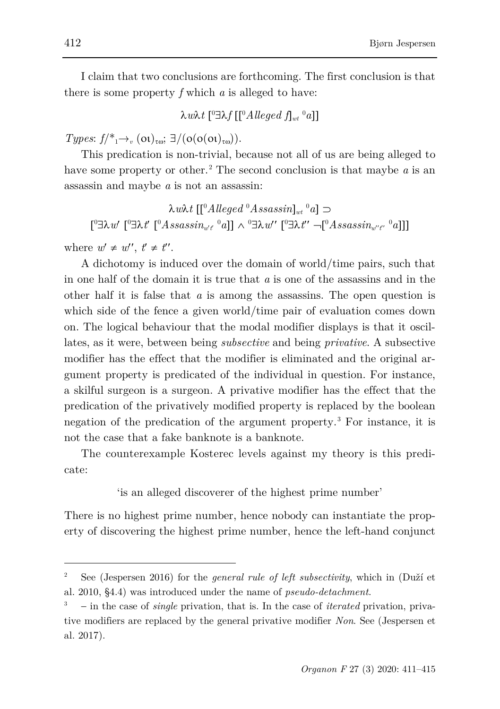I claim that two conclusions are forthcoming. The first conclusion is that there is some property *f* which *a* is alleged to have:

 $\lambda$ wλ*t* [ $^0$ ∃λ*f* [[ $^0$ *Alleged f*] $_{wt}$   $^0$ a]]

*Types*:  $f|^* \to (0)_{\tau \omega}$ ;  $\exists / (o(o(o_1)_{\tau \omega}))$ .

This predication is non-trivial, because not all of us are being alleged to have some property or other.<sup>[2](#page-1-0)</sup> The second conclusion is that maybe *a* is an assassin and maybe *a* is not an assassin:

$$
\lambda w \lambda t \left[ \left[ {}^{0}Alleged \ {}^{0}Asaasin \right]_{wt} {}^{0}a \right] \supset
$$
  

$$
\left[ {}^{0} \exists \lambda w' \ [{}^{0}Asaasin_{w't} {}^{0}a] \right] \wedge {}^{0} \exists \lambda w' \ [{}^{0} \exists \lambda t' \ \neg [{}^{0}Assassin_{w't'} {}^{0}a] \right]
$$

where  $w' \neq w''$ ,  $t' \neq t''$ .

A dichotomy is induced over the domain of world/time pairs, such that in one half of the domain it is true that *a* is one of the assassins and in the other half it is false that *a* is among the assassins. The open question is which side of the fence a given world/time pair of evaluation comes down on. The logical behaviour that the modal modifier displays is that it oscillates, as it were, between being *subsective* and being *privative*. A subsective modifier has the effect that the modifier is eliminated and the original argument property is predicated of the individual in question. For instance, a skilful surgeon is a surgeon. A privative modifier has the effect that the predication of the privatively modified property is replaced by the boolean negation of the predication of the argument property.[3](#page-1-1) For instance, it is not the case that a fake banknote is a banknote.

The counterexample Kosterec levels against my theory is this predicate:

'is an alleged discoverer of the highest prime number'

There is no highest prime number, hence nobody can instantiate the property of discovering the highest prime number, hence the left-hand conjunct

l

<span id="page-1-0"></span><sup>2</sup> See (Jespersen 2016) for the *general rule of left subsectivity*, which in (Duží et al. 2010, §4.4) was introduced under the name of *pseudo-detachment*.

<span id="page-1-1"></span><sup>3</sup> − in the case of *single* privation, that is. In the case of *iterated* privation, privative modifiers are replaced by the general privative modifier *Non*. See (Jespersen et al. 2017).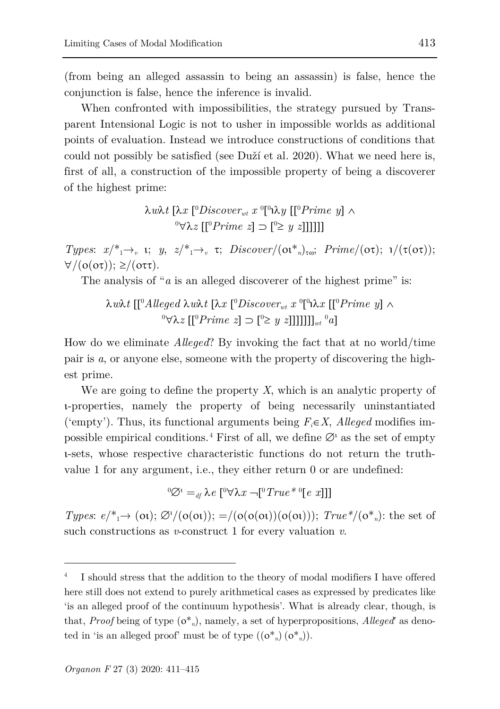(from being an alleged assassin to being an assassin) is false, hence the conjunction is false, hence the inference is invalid.

When confronted with impossibilities, the strategy pursued by Transparent Intensional Logic is not to usher in impossible worlds as additional points of evaluation. Instead we introduce constructions of conditions that could not possibly be satisfied (see Duží et al. 2020). What we need here is, first of all, a construction of the impossible property of being a discoverer of the highest prime:

$$
\lambda w \lambda t \, [\lambda x \, [^0Discover_{wt} \, x \, ^0[^0 \lambda y \, [[^0Prime \, y] \wedge
$$

$$
^0 \forall \lambda z \, [[^0Prime \, z] \supset [^0 \ge y \, z]]]]]]
$$

*Types*:  $x \rightarrow^*_{1} \rightarrow_v$  ι; *y*,  $z \rightarrow^*_{1} \rightarrow_v$  τ; *Discover*/( $\text{o} \tau^*_{n \text{loc}}$ ; *Prime*/( $\text{o} \tau$ );  $1/(\tau(\text{o} \tau))$ ;  $\forall$ /( $o(o\tau)$ );  $\geq$ /( $o\tau\tau$ ).

The analysis of "*a* is an alleged discoverer of the highest prime" is:

$$
\lambda w\lambda t \left[ [{}^0A \text{llegend }\lambda w\lambda t \left[ \lambda x \left[ {}^0D \text{iscover}_{wt} x \ {}^0[{}^0\lambda x \left[ [{}^0P \text{rime } y \right] \wedge {}^0\forall \lambda z \left[ [{}^0P \text{rime } z \right] \supset [{}^0\geq y \ z \right] ] \right] \right] \right] \big]_{w} \, {}^0a]
$$

How do we eliminate *Alleged*? By invoking the fact that at no world/time pair is *a*, or anyone else, someone with the property of discovering the highest prime.

We are going to define the property *X*, which is an analytic property of ι-properties, namely the property of being necessarily uninstantiated ('empty'). Thus, its functional arguments being  $F_i \in X$ , *Alleged* modifies im-possible empirical conditions.<sup>[4](#page-2-0)</sup> First of all, we define  $\varnothing$ <sup>*i*</sup> as the set of empty ι-sets, whose respective characteristic functions do not return the truthvalue 1 for any argument, i.e., they either return 0 or are undefined:

$$
{}^0\!{\varnothing}^{\iota} =_{\it df} \lambda\it e~[{}^0\forall\lambda x\ \neg [{}^0\it True*{}^0[\it e~x]]]
$$

*Types*:  $e'^*_{1} \to (0, \mathfrak{O})$ ;  $\varnothing'/(0,0,0); =/(0,0,0,0,0);$  *True*\*/ $(0^*,).$  the set of such constructions as *v*-construct 1 for every valuation *v*.

l

<span id="page-2-0"></span>I should stress that the addition to the theory of modal modifiers I have offered here still does not extend to purely arithmetical cases as expressed by predicates like 'is an alleged proof of the continuum hypothesis'. What is already clear, though, is that, *Proof* being of type (ο\**n*), namely, a set of hyperpropositions, *Alleged*′ as denoted in 'is an alleged proof' must be of type  $((o^*,)(o^*))$ .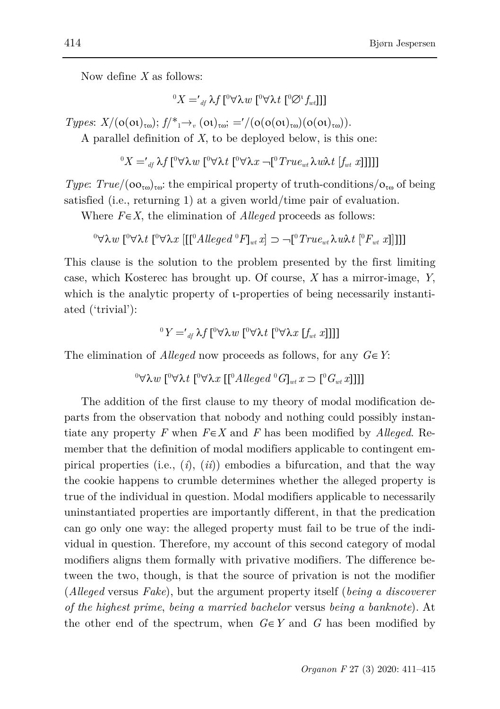Now define *X* as follows:

 $\overline{0}$ 

$$
{}^0X='{}_{\it df}\lambda f\, [{}^0\forall\lambda w\, [{}^0\forall\lambda t\, [{}^0\!\varnothing^{\rm t}f_{wt}]]]
$$

*Types*:  $X/(\mathfrak{o}(\mathfrak{ol})_{\tau\omega})$ ;  $f/_{1}^{*}\rightarrow_{v} (\mathfrak{ol})_{\tau\omega}$ ; ='/( $\mathfrak{o}(\mathfrak{o}(\mathfrak{ol})_{\tau\omega})(\mathfrak{o}(\mathfrak{ol})_{\tau\omega})$ ).

A parallel definition of *X*, to be deployed below, is this one:

 ${}^{0}X ='_{\mathit{df}} \lambda f\, [{}^{0}\forall \lambda w\, [{}^{0}\forall \lambda t\, [{}^{0}\forall \lambda x\, \neg [{}^{0}\mathit{True}_{wt}\lambda w\lambda t\, [f_{wt}\, x]]]]]$ 

*Type*:  $True/(\overline{oo_{\tau\omega}})_{\tau\omega}$ : the empirical property of truth-conditions/ $\overline{o_{\tau\omega}}$  of being satisfied (i.e., returning 1) at a given world/time pair of evaluation.

Where *F*∈*X*, the elimination of *Alleged* proceeds as follows:

$$
{}^{0}\forall\lambda w\ [{}^{0}\forall\lambda t\ [{}^{0}\forall\lambda x\ [[[{}^{0}Alleged\ {}^{0}F]_{wt}x]\supset -[{}^{0}True_{wt}\lambda w\lambda t\ [{}^{0}F_{wt}x]]]]]
$$

This clause is the solution to the problem presented by the first limiting case, which Kosterec has brought up. Of course, *X* has a mirror-image, *Y*, which is the analytic property of *ι*-properties of being necessarily instantiated ('trivial'):

$$
{}^{0}Y = '_{df} \lambda f [{}^{0}\forall \lambda w [{}^{0}\forall \lambda t [{}^{0}\forall \lambda x [f_{wt} x]]]]
$$

The elimination of *Alleged* now proceeds as follows, for any *G*∈*Y*:

 ${}^0 \forall \lambda w$  [ ${}^0 \forall \lambda t$  [ ${}^0 \forall \lambda x$  [[ ${}^0 A \, \mathit{lleged} \, {}^0 G_{wt} x$  ⊃ [ ${}^0 G_{wt} x$ ]]]]

The addition of the first clause to my theory of modal modification departs from the observation that nobody and nothing could possibly instantiate any property *F* when  $F \in X$  and *F* has been modified by *Alleged*. Remember that the definition of modal modifiers applicable to contingent empirical properties (i.e., (*i*), (*ii*)) embodies a bifurcation, and that the way the cookie happens to crumble determines whether the alleged property is true of the individual in question. Modal modifiers applicable to necessarily uninstantiated properties are importantly different, in that the predication can go only one way: the alleged property must fail to be true of the individual in question. Therefore, my account of this second category of modal modifiers aligns them formally with privative modifiers. The difference between the two, though, is that the source of privation is not the modifier (*Alleged* versus *Fake*), but the argument property itself (*being a discoverer of the highest prime*, *being a married bachelor* versus *being a banknote*). At the other end of the spectrum, when  $G \in Y$  and  $G$  has been modified by